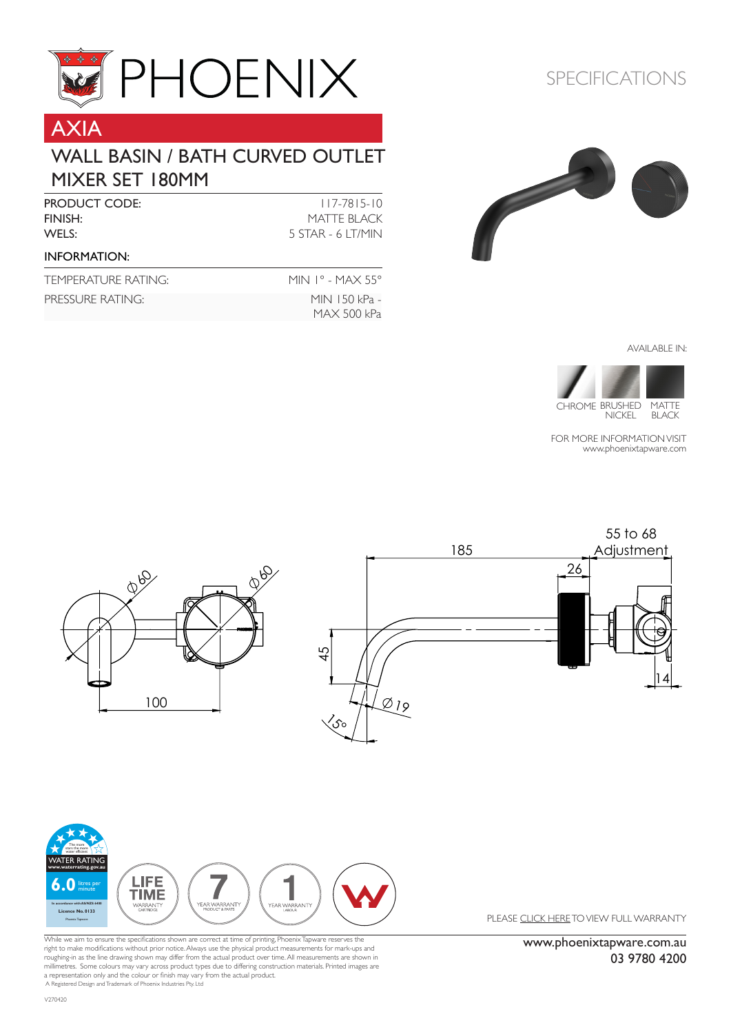

# AXIA

#### WALL BASIN / BATH CURVED OUTLET MIXER SET 180MM

| <b>PRODUCT CODE:</b><br>FINISH:<br>WELS: | $117 - 7815 - 10$<br>MATTE BLACK<br>5 STAR - 6 LT/MIN |
|------------------------------------------|-------------------------------------------------------|
|                                          |                                                       |
| TEMPERATURE RATING:                      | MIN $1^{\circ}$ - MAX 55 $^{\circ}$                   |
| PRESSURE RATING:                         | MIN 150 kPa -                                         |

### SPECIFICATIONS



AVAILABLE IN:



CHROME BRUSHED MATTE NICKEL BLACK

FOR MORE INFORMATION VISIT [www.phoenixtapware.com](http://www.phoenixtapware.com.au/)



MAX 500 kPa



While we aim to ensure the specifications shown are correct at time of printing, Phoenix Tapware reserves the right to make modifications without prior notice. Always use the physical product measurements for mark-ups and roughing-in as the line drawing shown may differ from the actual product over time. All measurements are shown in<br>millimetres. Some colours may vary across product types due to differing construction materials. Printed ima A Registered Design and Trademark of Phoenix Industries Pty. Ltd

PLEASE [CLICK HERE](http://www.phoenixtapware.com.au/warranty/) TO VIEW FULL WARRANTY

www.phoenixtapware.com.au 03 9780 4200